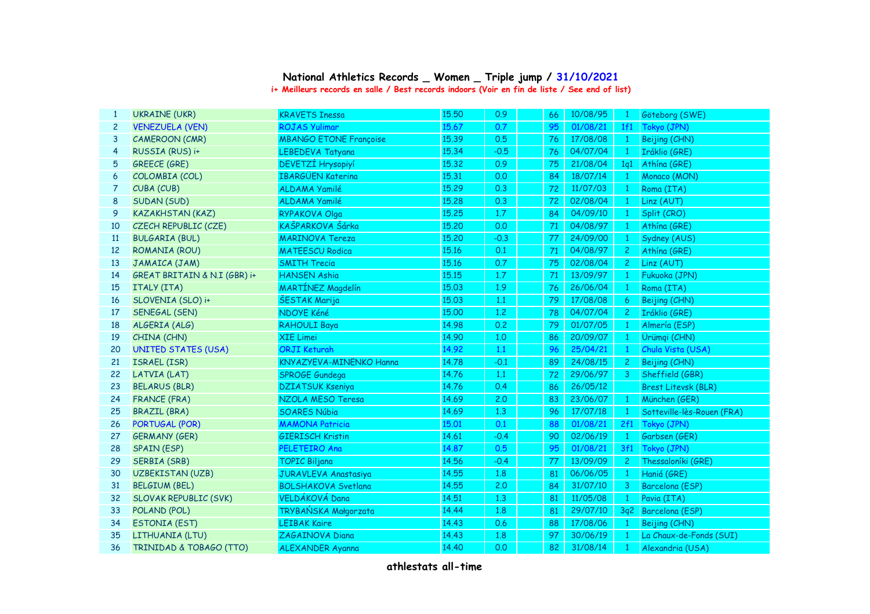| 1              | <b>UKRAINE (UKR)</b>         | <b>KRAVETS Inessa</b>          | 15.50 | 0.9    |    | 10/08/95 |                |                            |
|----------------|------------------------------|--------------------------------|-------|--------|----|----------|----------------|----------------------------|
|                |                              |                                |       |        | 66 |          | $\mathbf{1}$   | Göteborg (SWE)             |
| $\overline{c}$ | <b>VENEZUELA (VEN)</b>       | <b>ROJAS Yulimar</b>           | 15.67 | 0.7    | 95 | 01/08/21 | 1f1            | Tokyo (JPN)                |
| 3              | <b>CAMEROON (CMR)</b>        | <b>MBANGO ETONE Françoise</b>  | 15.39 | 0.5    | 76 | 17/08/08 | $\mathbf{1}$   | Beijing (CHN)              |
| $\overline{4}$ | RUSSIA (RUS) i+              | LEBEDEVA Tatyana               | 15.34 | $-0.5$ | 76 | 04/07/04 |                | Iráklio (GRE)              |
| 5              | <b>GREECE (GRE)</b>          | DEVETZÍ Hrysopiyí              | 15,32 | 0.9    | 75 | 21/08/04 | 1q1            | Athína (GRE)               |
| 6              | COLOMBIA (COL)               | <b>IBARGÜEN Katerina</b>       | 15.31 | 0.0    | 84 | 18/07/14 | $\mathbf{1}$   | Monaco (MON)               |
| 7              | CUBA (CUB)                   | ALDAMA Yamilé                  | 15.29 | 0.3    | 72 | 11/07/03 | $\mathbf{1}$   | Roma (ITA)                 |
| 8              | SUDAN (SUD)                  | ALDAMA Yamilé                  | 15.28 | 0.3    | 72 | 02/08/04 | $\mathbf{1}$   | Linz (AUT)                 |
| 9              | <b>KAZAKHSTAN (KAZ)</b>      | RYPAKOVA Olga                  | 15.25 | 1.7    | 84 | 04/09/10 | $\mathbf{1}$   | Split (CRO)                |
| 10             | CZECH REPUBLIC (CZE)         | KAŠPARKOVA Šárka               | 15,20 | 0.0    | 71 | 04/08/97 | $\mathbf{1}$   | Athína (GRE)               |
| 11             | <b>BULGARIA (BUL)</b>        | <b>MARINOVA Tereza</b>         | 15,20 | $-0.3$ | 77 | 24/09/00 | $\mathbf{1}$   | Sydney (AUS)               |
| 12             | <b>ROMANIA (ROU)</b>         | <b>MATEESCU Rodica</b>         | 15.16 | 0.1    | 71 | 04/08/97 | 2 <sup>1</sup> | Athína (GRE)               |
| 13             |                              | <b>SMITH Trecia</b>            | 15.16 | 0.7    | 75 | 02/08/04 | $\mathbf{2}$   | Linz (AUT)                 |
| 14             | GREAT BRITAIN & N.I (GBR) i+ | <b>HANSEN Ashia</b>            | 15.15 | 1.7    | 71 | 13/09/97 | $\mathbf{1}$   | Fukuoka (JPN)              |
| 15             | ITALY (ITA)                  | <b>MARTÍNEZ Magdelín</b>       | 15.03 | 1.9    | 76 | 26/06/04 |                | Roma (ITA)                 |
| 16             | SLOVENIA (SLO) i+            | ŠESTAK Marija                  | 15.03 | 1.1    | 79 | 17/08/08 | 6              | Beijing (CHN)              |
| 17             | SENEGAL (SEN)                | NDOYE Kéné                     | 15.00 | 1.2    | 78 | 04/07/04 | 2 <sup>1</sup> | Iráklio (GRE)              |
| 18             |                              | <b>RAHOULI Baya</b>            | 14.98 | 0.2    | 79 | 01/07/05 | $\mathbf{1}$   | Almería (ESP)              |
| 19             | CHINA (CHN)                  | XIE Limei                      | 14.90 | 1,0    | 86 | 20/09/07 | $\mathbf{1}$   | Ürümqi (CHN)               |
| 20             | <b>UNITED STATES (USA)</b>   | <b>ORJI Keturah</b>            | 14.92 | 1.1    | 96 | 25/04/21 | $\mathbf{1}$   | Chula Vista (USA)          |
| 21             | ISRAEL (ISR)                 | KNYAZYEVA-MINENKO Hanna        | 14.78 | $-0.1$ | 89 | 24/08/15 | 2 <sup>1</sup> | Beijing (CHN)              |
| 22             | LATVIA (LAT)                 | SPROGE Gundega                 | 14.76 | 1.1    | 72 | 29/06/97 | $\mathbf{3}$   | Sheffield (GBR)            |
| 23             | <b>BELARUS (BLR)</b>         | <b>DZIATSUK Kseniya</b>        | 14.76 | 0.4    | 86 | 26/05/12 |                | <b>Brest Litevsk (BLR)</b> |
| 24             | <b>FRANCE (FRA)</b>          | NZOLA MESO Teresa              | 14.69 | 2.0    | 83 | 23/06/07 | $\mathbf{1}$   | München (GER)              |
| 25             | <b>BRAZIL (BRA)</b>          | <b>SOARES Núbia</b>            | 14.69 | 1,3    | 96 | 17/07/18 | $\mathbf{1}$   | Sotteville-lès-Rouen (FRA) |
| 26             | PORTUGAL (POR)               | <b>MAMONA Patricia</b>         | 15.01 | 0.1    | 88 | 01/08/21 | 2f1            | Tokyo (JPN)                |
| 27             | <b>GERMANY (GER)</b>         | <b>GIERISCH Kristin</b>        | 14.61 | $-0.4$ | 90 | 02/06/19 | $\mathbf{1}$   | Garbsen (GER)              |
| 28             | <b>SPAIN (ESP)</b>           | PELETEIRO Ana                  | 14.87 | 0.5    | 95 | 01/08/21 | 3f1            | Tokyo (JPN)                |
| 29             | <b>SERBIA (SRB)</b>          | <b>TOPIC Biljana</b>           | 14.56 | $-0.4$ | 77 | 13/09/09 | $\mathbf{2}$   | Thessaloníki (GRE)         |
| 30             | UZBEKISTAN (UZB)             | JURAVLEVA Anastasiya           | 14.55 | 1.8    | 81 | 06/06/05 | $\mathbf{1}$   | Haniá (GRE)                |
| 31             | <b>BELGIUM (BEL)</b>         | <b>BOLSHAKOVA Svetlana</b>     | 14.55 | 2.0    | 84 | 31/07/10 | 3              | Barcelona (ESP)            |
| 32             | <b>SLOVAK REPUBLIC (SVK)</b> | VELDÁKOVÁ Dana                 | 14.51 | 1.3    | 81 | 11/05/08 | $\mathbf{1}$   | Pavia (ITA)                |
| 33             | POLAND (POL)                 | TRYBAŃSKA Małgorzata           | 14.44 | 1.8    | 81 | 29/07/10 |                | 3q2 Barcelona (ESP)        |
| 34             | <b>ESTONIA (EST)</b>         | <b>LEIBAK Kaire</b>            | 14.43 | 0.6    | 88 | 17/08/06 | $\mathbf{1}$   | Beijing (CHN)              |
| 35             | LITHUANIA (LTU)              | ZAGAINOVA Diana                | 14.43 | 1.8    | 97 | 30/06/19 |                | La Chaux-de-Fonds (SUI)    |
| 36             | TRINIDAD & TOBAGO (TTO)      | <b>ALEXANDER Ayanna</b>        | 14.40 | 0.0    | 82 | 31/08/14 |                | Alexandria (USA)           |
|                |                              | JAMAICA (JAM)<br>ALGERIA (ALG) |       |        |    |          |                |                            |

## **National Athletics Records \_ Women \_ Triple jump / 31/10/2021 i+ Meilleurs records en salle / Best records indoors (Voir en fin de liste / See end of list)**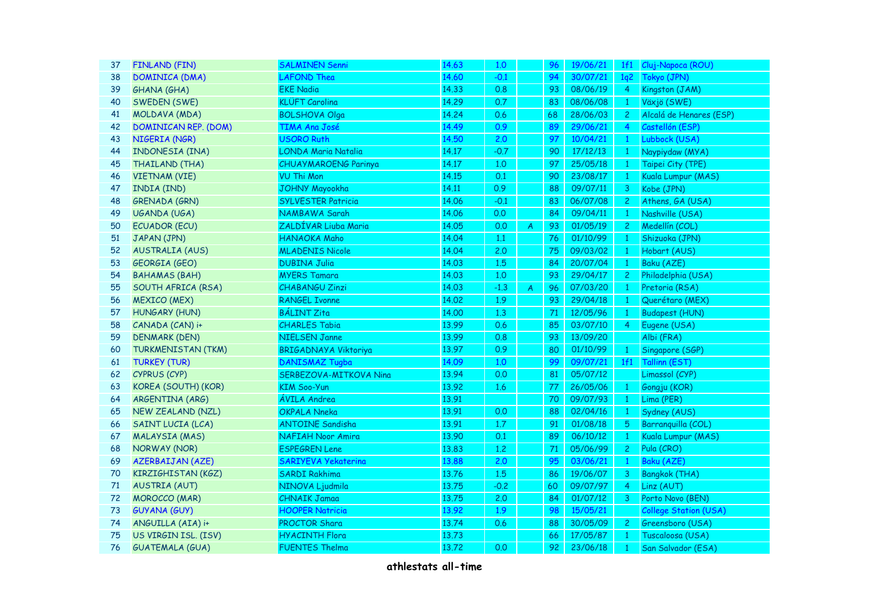| 37 | <b>FINLAND (FIN)</b>        | <b>SALMINEN Senni</b>       | 14.63 | 1,0    |                  | 96 | 19/06/21 | 1f1            | Cluj-Napoca (ROU)            |
|----|-----------------------------|-----------------------------|-------|--------|------------------|----|----------|----------------|------------------------------|
| 38 | DOMINICA (DMA)              | LAFOND Thea                 | 14.60 | $-0.1$ |                  | 94 | 30/07/21 | 1q2            | Tokyo (JPN)                  |
| 39 | <b>GHANA (GHA)</b>          | <b>EKE Nadia</b>            | 14.33 | 0.8    |                  | 93 | 08/06/19 | 4 <sup>1</sup> | Kingston (JAM)               |
| 40 | SWEDEN (SWE)                | <b>KLÜFT Carolina</b>       | 14.29 | 0.7    |                  | 83 | 08/06/08 | $1 -$          | Växjö (SWE)                  |
| 41 | MOLDAVA (MDA)               | <b>BOLSHOVA Olga</b>        | 14.24 | 0.6    |                  | 68 | 28/06/03 | $\overline{2}$ | Alcalá de Henares (ESP)      |
| 42 | <b>DOMINICAN REP. (DOM)</b> | TIMA Ana José               | 14.49 | 0.9    |                  | 89 | 29/06/21 | $\overline{4}$ | Castellón (ESP)              |
| 43 | NIGERIA (NGR)               | <b>USORO Ruth</b>           | 14.50 | 2.0    |                  | 97 | 10/04/21 |                | 1 Lubbock (USA)              |
| 44 | INDONESIA (INA)             | LONDA Maria Natalia         | 14.17 | $-0.7$ |                  | 90 | 17/12/13 | $\mathbf{1}$   | Naypiydaw (MYA)              |
| 45 | THAILAND (THA)              | CHUAYMAROENG Parinya        | 14.17 | 1,0    |                  | 97 | 25/05/18 | $\mathbf{1}$   | Taipei City (TPE)            |
| 46 | <b>VIETNAM (VIE)</b>        | VU Thi Mon                  | 14.15 | 0.1    |                  | 90 | 23/08/17 | $\mathbf{1}$   | Kuala Lumpur (MAS)           |
| 47 | INDIA (IND)                 | <b>JOHNY Mayookha</b>       | 14.11 | 0.9    |                  | 88 | 09/07/11 | 3 <sup>7</sup> | Kobe (JPN)                   |
| 48 | <b>GRENADA (GRN)</b>        | <b>SYLVESTER Patricia</b>   | 14.06 | $-0.1$ |                  | 83 | 06/07/08 | 2 <sup>1</sup> | Athens, GA (USA)             |
| 49 | UGANDA (UGA)                | NAMBAWA Sarah               | 14.06 | 0.0    |                  | 84 | 09/04/11 | $\mathbf{1}$   | Nashville (USA)              |
| 50 | <b>ECUADOR (ECU)</b>        | ZALDÍVAR Liuba Maria        | 14.05 | 0.0    | $\boldsymbol{A}$ | 93 | 01/05/19 | $\mathbf{2}$   | Medellín (COL)               |
| 51 | JAPAN (JPN)                 | HANAOKA Maho                | 14.04 | 1.1    |                  | 76 | 01/10/99 | $\mathbf{1}$   | Shizuoka (JPN)               |
| 52 | <b>AUSTRALIA (AUS)</b>      | <b>MLADENIS Nicole</b>      | 14.04 | 2.0    |                  | 75 | 09/03/02 | $\mathbf{1}$   | Hobart (AUS)                 |
| 53 | <b>GEORGIA (GEO)</b>        | <b>DUBINA Julia</b>         | 14.03 | 1.5    |                  | 84 | 20/07/04 | $\mathbf{1}$   | Baku (AZE)                   |
| 54 | <b>BAHAMAS (BAH)</b>        | <b>MYERS Tamara</b>         | 14.03 | 1.0    |                  | 93 | 29/04/17 | $2 -$          | Philadelphia (USA)           |
| 55 | SOUTH AFRICA (RSA)          | <b>CHABANGU Zinzi</b>       | 14.03 | $-1.3$ | $\overline{A}$   | 96 | 07/03/20 | $\mathbf{1}$   | Pretoria (RSA)               |
| 56 | <b>MEXICO (MEX)</b>         | <b>RANGEL Ivonne</b>        | 14.02 | 1.9    |                  | 93 | 29/04/18 |                | Querétaro (MEX)              |
| 57 | <b>HUNGARY (HUN)</b>        | <b>BÁLINT Zita</b>          | 14.00 | 1.3    |                  | 71 | 12/05/96 | $\mathbf{1}$   | <b>Budapest (HUN)</b>        |
| 58 | CANADA (CAN) i+             | <b>CHARLES Tabia</b>        | 13.99 | 0.6    |                  | 85 | 03/07/10 | $\overline{4}$ | Eugene (USA)                 |
| 59 | <b>DENMARK (DEN)</b>        | <b>NIELSEN Janne</b>        | 13.99 | 0.8    |                  | 93 | 13/09/20 |                | Albi (FRA)                   |
| 60 | <b>TURKMENISTAN (TKM)</b>   | <b>BRIGADNAYA Viktoriya</b> | 13.97 | 0.9    |                  | 80 | 01/10/99 | $\mathbf{1}$   | Singapore (SGP)              |
| 61 | <b>TURKEY (TUR)</b>         | <b>DANISMAZ Tugba</b>       | 14.09 | 1.0    |                  | 99 | 09/07/21 | 1f1            | Tallinn (EST)                |
| 62 | CYPRUS (CYP)                | SERBEZOVA-MITKOVA Nina      | 13.94 | 0.0    |                  | 81 | 05/07/12 |                | Limassol (CYP)               |
| 63 | KOREA (SOUTH) (KOR)         | KIM Soo-Yun                 | 13.92 | 1.6    |                  | 77 | 26/05/06 | $\mathbf{1}$   | Gongju (KOR)                 |
| 64 | ARGENTINA (ARG)             | ÁVILA Andrea                | 13.91 |        |                  | 70 | 09/07/93 | 1              | Lima (PER)                   |
| 65 | NEW ZEALAND (NZL)           | <b>OKPALA Nneka</b>         | 13.91 | 0.0    |                  | 88 | 02/04/16 |                | Sydney (AUS)                 |
| 66 | SAINT LUCIA (LCA)           | <b>ANTOINE Sandisha</b>     | 13.91 | 1.7    |                  | 91 | 01/08/18 | 5              | Barranquilla (COL)           |
| 67 | <b>MALAYSIA (MAS)</b>       | NAFIAH Noor Amira           | 13.90 | 0.1    |                  | 89 | 06/10/12 | 1              | Kuala Lumpur (MAS)           |
| 68 | <b>NORWAY (NOR)</b>         | <b>ESPEGREN Lene</b>        | 13.83 | 1.2    |                  | 71 | 05/06/99 | 2 <sup>1</sup> | Pula (CRO)                   |
| 69 | <b>AZERBAIJAN (AZE)</b>     | SARIYEVA Yekaterina         | 13.88 | 2.0    |                  | 95 | 03/06/21 | 1              | Baku (AZE)                   |
| 70 | KIRZIGHISTAN (KGZ)          | <b>SARDI Rakhima</b>        | 13.76 | 1.5    |                  | 86 | 19/06/07 | 3              | <b>Bangkok (THA)</b>         |
| 71 | <b>AUSTRIA (AUT)</b>        | NINOVA Ljudmila             | 13.75 | $-0.2$ |                  | 60 | 09/07/97 | $\overline{4}$ | Linz (AUT)                   |
| 72 | <b>MOROCCO</b> (MAR)        | <b>CHNAIK Jamaa</b>         | 13.75 | 2.0    |                  | 84 | 01/07/12 | 3              | Porto Novo (BEN)             |
| 73 | <b>GUYANA (GUY)</b>         | <b>HOOPER Natricia</b>      | 13.92 | 1.9    |                  | 98 | 15/05/21 |                | <b>College Station (USA)</b> |
| 74 | ANGUILLA (AIA) i+           | PROCTOR Shara               | 13.74 | 0.6    |                  | 88 | 30/05/09 | $2 -$          | Greensboro (USA)             |
| 75 | US VIRGIN ISL. (ISV)        | <b>HYACINTH Flora</b>       | 13.73 |        |                  | 66 | 17/05/87 | $\mathbf{1}$   | Tuscaloosa (USA)             |
| 76 | <b>GUATEMALA (GUA)</b>      | <b>FUENTES Thelma</b>       | 13.72 | 0.0    |                  | 92 | 23/06/18 | $1 -$          | San Salvador (ESA)           |
|    |                             |                             |       |        |                  |    |          |                |                              |